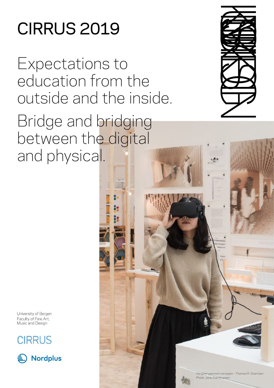# CIRRUS 2019

Expectations to education from the outside and the inside.

Bridge and bridging between the digital and physical.



University of Bergen Faculty of Fine Art, Music and Design





*Varighet gjennom variasjon – Thomas R. Sivertsen Photo: Jane Sverdrupsen*

**THURSET IN THE THEFT**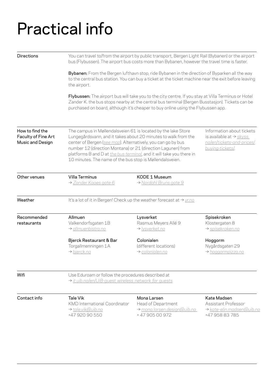## Practical info

| <b>Directions</b>                                          | You can travel to/from the airport by public transport, Bergen Light Rail (Bybanen) or the airport<br>bus (Flybussen). The airport bus costs more than Bybanen, however the travel time is faster.                                                                                                                                                                                                                                                              |                                                                                                                                                                                                                                                                                           |                                                                                   |  |  |
|------------------------------------------------------------|-----------------------------------------------------------------------------------------------------------------------------------------------------------------------------------------------------------------------------------------------------------------------------------------------------------------------------------------------------------------------------------------------------------------------------------------------------------------|-------------------------------------------------------------------------------------------------------------------------------------------------------------------------------------------------------------------------------------------------------------------------------------------|-----------------------------------------------------------------------------------|--|--|
|                                                            | Bybanen: From the Bergen lufthavn stop, ride Bybanen in the direction of Byparken all the way<br>to the central bus station. You can buy a ticket at the ticket machine near the exit before leaving<br>the airport.                                                                                                                                                                                                                                            |                                                                                                                                                                                                                                                                                           |                                                                                   |  |  |
|                                                            |                                                                                                                                                                                                                                                                                                                                                                                                                                                                 | Flybussen: The airport bus will take you to the city centre. If you stay at Villa Terminus or Hotel<br>Zander K. the bus stops nearby at the central bus terminal (Bergen Busstasjon). Tickets can be<br>purchased on board, although it's cheaper to buy online using the Flybussen app. |                                                                                   |  |  |
| How to find the<br>Faculty of Fine Art<br>Music and Design | The campus in Møllendalsveien 61 is located by the lake Store<br>Lungegårdsvann, and it takes about 20 minutes to walk from the<br>is available at $\rightarrow$ skyss.<br>center of Bergen (see map). Alternatively, you can go by bus<br>number 12 (direction Montana) or 21 (direction Lagunen) from<br>buying-tickets/.<br>platforms B and D at the bus terminal, and it will take you there in<br>10 minutes. The name of the bus stop is Møllendalsveien. |                                                                                                                                                                                                                                                                                           | Information about tickets<br>no/en/tickets-and-prices/                            |  |  |
| Other venues                                               | Villa Terminus<br>> Zander Kaaes gate 6                                                                                                                                                                                                                                                                                                                                                                                                                         | KODE 1 Museum<br>> Nordahl Bruns gate 9                                                                                                                                                                                                                                                   |                                                                                   |  |  |
| Weather                                                    | It's a lot of it in Bergen! Check up the weather forecast at $\rightarrow$ yr.no                                                                                                                                                                                                                                                                                                                                                                                |                                                                                                                                                                                                                                                                                           |                                                                                   |  |  |
| Recommended<br>restaurants                                 | Allmuen<br>Valkendorfsgaten 1B<br>> allmuenbistro.no                                                                                                                                                                                                                                                                                                                                                                                                            | Lysverket<br>Rasmus Meyers Allé 9<br>> lysverket.no                                                                                                                                                                                                                                       | Spisekroken<br>Klostergaten 8<br>→ spisekroken.no                                 |  |  |
|                                                            | Bjerck Restaurant & Bar<br>Torgallmenningen 1A<br>> bjerck.no                                                                                                                                                                                                                                                                                                                                                                                                   | Colonialen<br>(different locations)<br>> colonialen.no                                                                                                                                                                                                                                    | Hoggorm<br>Nygårdsgaten 29<br>> hoggormpizza.no                                   |  |  |
| Wifi                                                       | Use Eduroam or follow the procedures described at<br>> it.uib.no/en/UiB-quest wireless network for quests                                                                                                                                                                                                                                                                                                                                                       |                                                                                                                                                                                                                                                                                           |                                                                                   |  |  |
| Contact info                                               | Tale Vik<br><b>KMD</b> International Coordinator<br>→ tale.vik@uib.no<br>+47 920 90 550                                                                                                                                                                                                                                                                                                                                                                         | Mona Larsen<br>Head of Department<br>mona.larsen.design@uib.no<br>+4790500972                                                                                                                                                                                                             | Kate Madsen<br>Assistant Professor<br>> kate-elin.madsen@uib.no<br>+47 958 83 785 |  |  |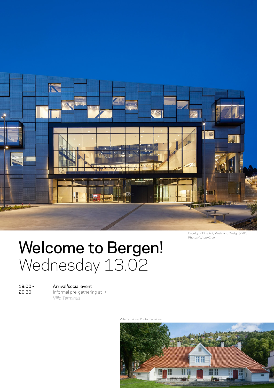

Faculty of Fine Art, Music and Design (KMD) *Photo: Hufton+Crow*

### Welcome to Bergen! Wednesday 13.02

19:00 – 20:30

#### Arrival/social event

Informal pre-gathering at → *[Villa Terminus](https://www.villaterminus.no/en/)*

Villa Terminus, *Photo: Terminus* 

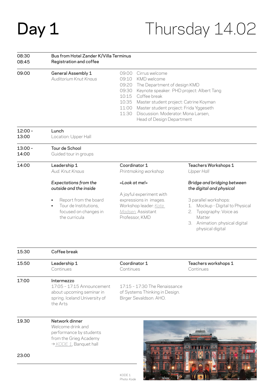# Day 1

### Thursday 14.02

physical digital

 $\frac{1}{2}$  ,  $\frac{1}{2}$  ,  $\frac{1}{2}$  ,  $\frac{1}{2}$  ,  $\frac{1}{2}$  ,  $\frac{1}{2}$  ,  $\frac{1}{2}$  ,  $\frac{1}{2}$  ,  $\frac{1}{2}$  ,  $\frac{1}{2}$  ,  $\frac{1}{2}$  ,  $\frac{1}{2}$  ,  $\frac{1}{2}$  ,  $\frac{1}{2}$  ,  $\frac{1}{2}$  ,  $\frac{1}{2}$  ,  $\frac{1}{2}$  ,  $\frac{1}{2}$  ,  $\frac{1$ 

#### Bus from Hotel Zander K/Villa Terminus Registration and coffee 08:30 08:45

Lunch

12:00 –

| 09:00 | General Assembly 1    | 09:00 I | – Cirrus welcome                                |
|-------|-----------------------|---------|-------------------------------------------------|
|       | Auditorium Knut Knaus |         | 09:10 KMD welcome                               |
|       |                       |         | 09:20 The Department of design KMD              |
|       |                       |         | 09:30 Keynote speaker: PHD project: Albert Tang |
|       |                       |         | 10:15 Coffee break                              |
|       |                       |         | 10:35 Master student project: Catrine Koyman    |
|       |                       |         | 11:00 Master student project: Frida Yggeseth    |
|       |                       |         | 11:30 Discussion. Moderator: Mona Larsen,       |
|       |                       |         | Head of Design Department                       |
|       |                       |         |                                                 |

Location: Upper Hall Tour de School Guided tour in groups Leadership 1 *Aud. Knut Knaus Expectations from the outside and the inside* Report from the board Tour de Institutions, focused on changes in the curricula Coordinator 1 *Printmaking workshop «Look at me!»* A joyful experiment with expressions in images. Workshop leader: *[Kate](https://www.kate.no/)  [Madsen](https://www.kate.no/)*, Assistant Professor, KMD Teachers Workshops 1 *Upper Hall Bridge and bridging between the digital and physical* 3 parallel workshops: 1. Mockup - Digital to Physical 2. Typography: Voice as Matter 3. Animation: physical digital 13:00 13:00 – 14:00 14:00

| 15:30 | Coffee break                                                                                                       |                                                                                           |                                   |
|-------|--------------------------------------------------------------------------------------------------------------------|-------------------------------------------------------------------------------------------|-----------------------------------|
| 15:50 | Leadership 1<br>Continues                                                                                          | Coordinator 1<br>Continues                                                                | Teachers workshops 1<br>Continues |
| 17:00 | Intermezzo<br>17:05 - 17:15 Announcement<br>about upcoming seminar in<br>spring. Iceland University of<br>the Arts | 17:15 - 17:30 The Renaissance<br>of Systems Thinking in Design.<br>Birger Sevaldson. AHO. |                                   |
| 19.30 | Network dinner<br>Welcome drink and<br>performance by students<br>from the Grieg Academy<br>> KODE 1, Banquet hall |                                                                                           |                                   |
| 23:00 |                                                                                                                    |                                                                                           |                                   |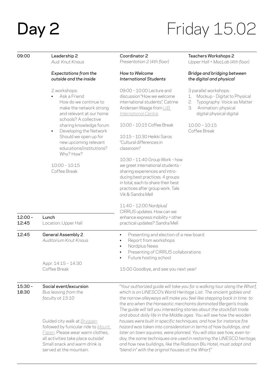# **Day 2** Friday 15.02

| 09:00              | Leadership 2<br>Aud. Knut Knaus                                                                                                                                                                           | Coordinator 2<br>Presentation 2 (4th floor)                                                                                                                                                                                                                                                                                                                                                                                              | Teachers Workshops 2<br>Upper Hall + MacLab (4th floor)                                                                                                                                                           |
|--------------------|-----------------------------------------------------------------------------------------------------------------------------------------------------------------------------------------------------------|------------------------------------------------------------------------------------------------------------------------------------------------------------------------------------------------------------------------------------------------------------------------------------------------------------------------------------------------------------------------------------------------------------------------------------------|-------------------------------------------------------------------------------------------------------------------------------------------------------------------------------------------------------------------|
|                    | Expectations from the<br>outside and the inside                                                                                                                                                           | How to Welcome<br><b>International Students</b>                                                                                                                                                                                                                                                                                                                                                                                          | Bridge and bridging between<br>the digital and physical                                                                                                                                                           |
|                    | 2 workshops:<br>Ask a Friend<br>How do we continue to<br>make the network strong<br>and relevant at our home<br>schools? A collective                                                                     | 09:00 - 10:00 Lecture and<br>discussion "How we welcome<br>international students", Catrine<br>Andersen Waage from UiB<br>International Centre.                                                                                                                                                                                                                                                                                          | 3 parallel workshops:<br>Mockup - Digital to Physical<br>1.<br>2.<br>Typography: Voice as Matter<br>3.<br>Animation: physical<br>digital physical digital                                                         |
|                    | sharing knowledge forum<br>Developing the Network<br>$\blacksquare$<br>Should we open up for<br>new upcoming relevant<br>educations/institutions?                                                         | 10:00 - 10:15 Coffee Break<br>10:15 - 10:30 Heikki Saros<br>"Cultural differences in<br>classroom"                                                                                                                                                                                                                                                                                                                                       | $10:00 - 10:15$<br>Coffee Break                                                                                                                                                                                   |
|                    | Why? How?<br>$10:00 - 10:15$<br>Coffee Break                                                                                                                                                              | 10:30 - 11:40 Group Work - how<br>we greet international students -<br>sharing experiences and intro-<br>ducing best practices. 4 groups<br>in total, each to share their best<br>practices after group work. Tale<br>Vik & Sandra Mell                                                                                                                                                                                                  |                                                                                                                                                                                                                   |
| $12:00 -$<br>12:45 | Lunch<br>Location: Upper Hall                                                                                                                                                                             | 11:40 - 12:00 Nordplus/<br>CIRRUS updates. How can we<br>enhance express mobility + other<br>practical updates? Sandra Mell                                                                                                                                                                                                                                                                                                              |                                                                                                                                                                                                                   |
| 12:45              | General Assembly 2<br>Auditorium Knut Knaus                                                                                                                                                               | Presenting and election of a new board<br>٠<br>Report from workshops<br>٠<br>Nordplus News<br>٠<br>Presenting of CIRRUS collaborations<br>Future hosting school                                                                                                                                                                                                                                                                          |                                                                                                                                                                                                                   |
|                    | Appr. 14:15 - 14:30<br>Coffee Break                                                                                                                                                                       | 15:00 Goodbye, and see you next year!                                                                                                                                                                                                                                                                                                                                                                                                    |                                                                                                                                                                                                                   |
| $15:30 -$<br>18:30 | Social event/excursion<br>Bus leaving from the<br>faculty at 15:10                                                                                                                                        | "Your authorized guide will take you for a walking tour along the Wharf,<br>which is on UNESCO's World Heritage List. The ancient gables and<br>the narrow alleyways will make you feel like stepping back in time to<br>the era when the Hanseatic merchants dominated Bergen's trade.<br>The guide will tell you interesting stories about the stockfish trade<br>and about daily life in the Middle ages. You will see how the wooden |                                                                                                                                                                                                                   |
|                    | Guided city walk at Bryggen<br>followed by funicular ride to Mount<br>Fløien. Please wear warm clothes,<br>all activities take place outside!<br>Small snack and warm drink is<br>served at the mountain. | houses were built in specific techniques, and how for instance fire<br>hazard was taken into consideration in terms of how buildings, and<br>"blend in" with the original houses at the Wharf."                                                                                                                                                                                                                                          | later on town squares, were planned. You will also see how, even to-<br>day, the same techniques are used in restoring the UNESCO heritage,<br>and how new buildings, like the Radisson Blu Hotel, must adapt and |